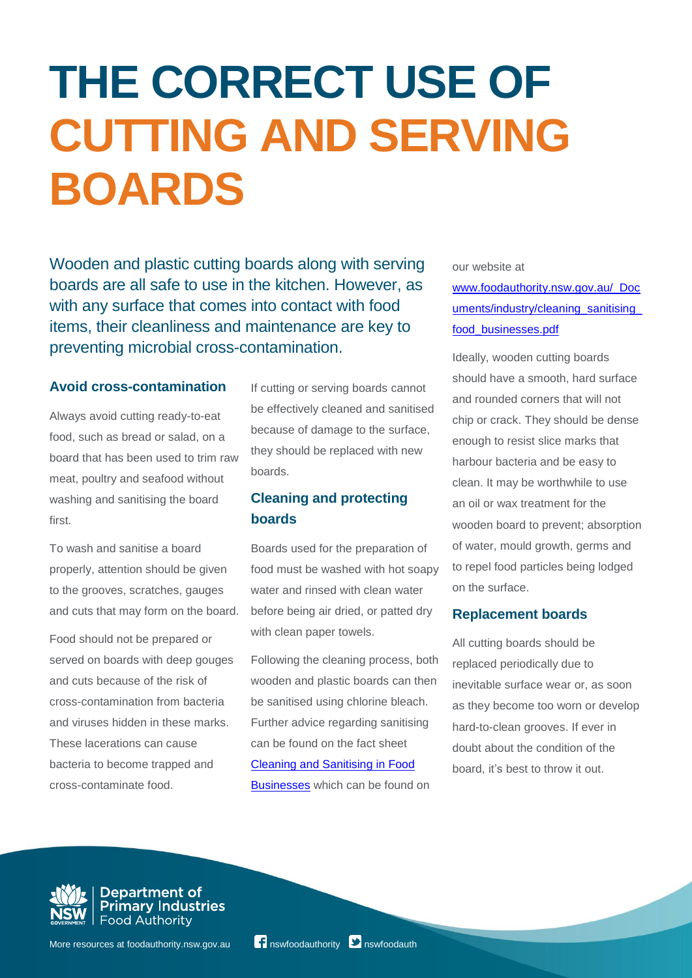## **THE CORRECT USE OF CUTTING AND SERVING BOARDS**

Wooden and plastic cutting boards along with serving boards are all safe to use in the kitchen. However, as with any surface that comes into contact with food items, their cleanliness and maintenance are key to preventing microbial cross-contamination.

## **Avoid cross-contamination**

Always avoid cutting ready-to-eat food, such as bread or salad, on a board that has been used to trim raw meat, poultry and seafood without washing and sanitising the board first.

To wash and sanitise a board properly, attention should be given to the grooves, scratches, gauges and cuts that may form on the board.

Food should not be prepared or served on boards with deep gouges and cuts because of the risk of cross-contamination from bacteria and viruses hidden in these marks. These lacerations can cause bacteria to become trapped and cross-contaminate food.

If cutting or serving boards cannot be effectively cleaned and sanitised because of damage to the surface, they should be replaced with new boards.

## **Cleaning and protecting boards**

Boards used for the preparation of food must be washed with hot soapy water and rinsed with clean water before being air dried, or patted dry with clean paper towels.

Following the cleaning process, both wooden and plastic boards can then be sanitised using chlorine bleach. Further advice regarding sanitising can be found on the fact sheet [Cleaning and Sanitising in Food](http://www.foodauthority.nsw.gov.au/_Documents/industry/cleaning_sanitising_food_businesses.pdf)  [Businesses](http://www.foodauthority.nsw.gov.au/_Documents/industry/cleaning_sanitising_food_businesses.pdf) which can be found on

our website at

[www.foodauthority.nsw.gov.au/\\_Doc](http://www.foodauthority.nsw.gov.au/_Documents/industry/cleaning_sanitising_food_businesses.pdf) uments/industry/cleaning\_sanitising [food\\_businesses.pdf](http://www.foodauthority.nsw.gov.au/_Documents/industry/cleaning_sanitising_food_businesses.pdf)

Ideally, wooden cutting boards should have a smooth, hard surface and rounded corners that will not chip or crack. They should be dense enough to resist slice marks that harbour bacteria and be easy to clean. It may be worthwhile to use an oil or wax treatment for the wooden board to prevent; absorption of water, mould growth, germs and to repel food particles being lodged on the surface.

## **Replacement boards**

All cutting boards should be replaced periodically due to inevitable surface wear or, as soon as they become too worn or develop hard-to-clean grooves. If ever in doubt about the condition of the board, it's best to throw it out.



**Department of<br>Primary Industries** Food Authority